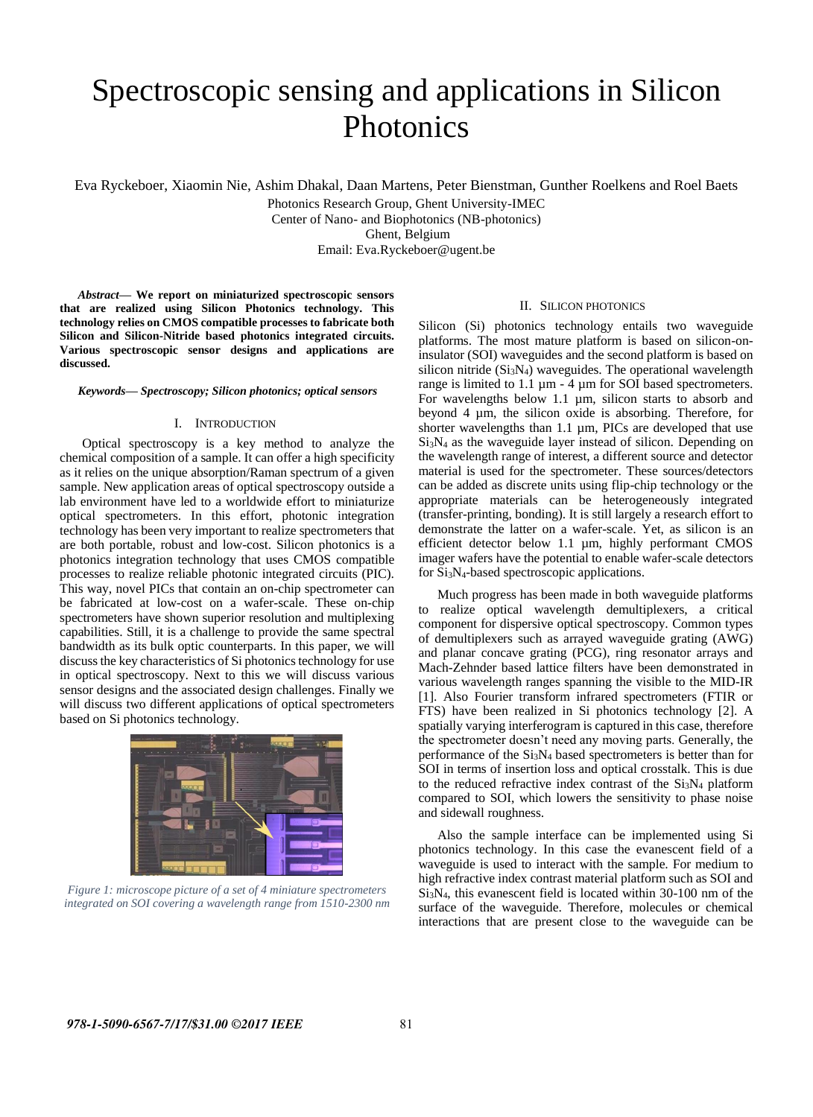# Spectroscopic sensing and applications in Silicon Photonics

Eva Ryckeboer, Xiaomin Nie, Ashim Dhakal, Daan Martens, Peter Bienstman, Gunther Roelkens and Roel Baets

Photonics Research Group, Ghent University-IMEC Center of Nano- and Biophotonics (NB-photonics) Ghent, Belgium Email: Eva.Ryckeboer@ugent.be

*Abstract***— We report on miniaturized spectroscopic sensors that are realized using Silicon Photonics technology. This technology relies on CMOS compatible processes to fabricate both Silicon and Silicon-Nitride based photonics integrated circuits. Various spectroscopic sensor designs and applications are discussed.** 

*Keywords— Spectroscopy; Silicon photonics; optical sensors*

# I. INTRODUCTION

Optical spectroscopy is a key method to analyze the chemical composition of a sample. It can offer a high specificity as it relies on the unique absorption/Raman spectrum of a given sample. New application areas of optical spectroscopy outside a lab environment have led to a worldwide effort to miniaturize optical spectrometers. In this effort, photonic integration technology has been very important to realize spectrometers that are both portable, robust and low-cost. Silicon photonics is a photonics integration technology that uses CMOS compatible processes to realize reliable photonic integrated circuits (PIC). This way, novel PICs that contain an on-chip spectrometer can be fabricated at low-cost on a wafer-scale. These on-chip spectrometers have shown superior resolution and multiplexing capabilities. Still, it is a challenge to provide the same spectral bandwidth as its bulk optic counterparts. In this paper, we will discuss the key characteristics of Si photonics technology for use in optical spectroscopy. Next to this we will discuss various sensor designs and the associated design challenges. Finally we will discuss two different applications of optical spectrometers based on Si photonics technology.



*Figure 1: microscope picture of a set of 4 miniature spectrometers integrated on SOI covering a wavelength range from 1510-2300 nm*

## II. SILICON PHOTONICS

Silicon (Si) photonics technology entails two waveguide platforms. The most mature platform is based on silicon-oninsulator (SOI) waveguides and the second platform is based on silicon nitride  $(Si<sub>3</sub>N<sub>4</sub>)$  waveguides. The operational wavelength range is limited to 1.1 µm - 4 µm for SOI based spectrometers. For wavelengths below 1.1 µm, silicon starts to absorb and beyond 4 µm, the silicon oxide is absorbing. Therefore, for shorter wavelengths than 1.1  $\mu$ m, PICs are developed that use Si3N<sup>4</sup> as the waveguide layer instead of silicon. Depending on the wavelength range of interest, a different source and detector material is used for the spectrometer. These sources/detectors can be added as discrete units using flip-chip technology or the appropriate materials can be heterogeneously integrated (transfer-printing, bonding). It is still largely a research effort to demonstrate the latter on a wafer-scale. Yet, as silicon is an efficient detector below 1.1 µm, highly performant CMOS imager wafers have the potential to enable wafer-scale detectors for Si3N4-based spectroscopic applications.

Much progress has been made in both waveguide platforms to realize optical wavelength demultiplexers, a critical component for dispersive optical spectroscopy. Common types of demultiplexers such as arrayed waveguide grating (AWG) and planar concave grating (PCG), ring resonator arrays and Mach-Zehnder based lattice filters have been demonstrated in various wavelength ranges spanning the visible to the MID-IR [1]. Also Fourier transform infrared spectrometers (FTIR or FTS) have been realized in Si photonics technology [2]. A spatially varying interferogram is captured in this case, therefore the spectrometer doesn't need any moving parts. Generally, the performance of the  $Si<sub>3</sub>N<sub>4</sub>$  based spectrometers is better than for SOI in terms of insertion loss and optical crosstalk. This is due to the reduced refractive index contrast of the  $Si<sub>3</sub>N<sub>4</sub>$  platform compared to SOI, which lowers the sensitivity to phase noise and sidewall roughness.

Also the sample interface can be implemented using Si photonics technology. In this case the evanescent field of a waveguide is used to interact with the sample. For medium to high refractive index contrast material platform such as SOI and  $Si<sub>3</sub>N<sub>4</sub>$ , this evanescent field is located within 30-100 nm of the surface of the waveguide. Therefore, molecules or chemical interactions that are present close to the waveguide can be